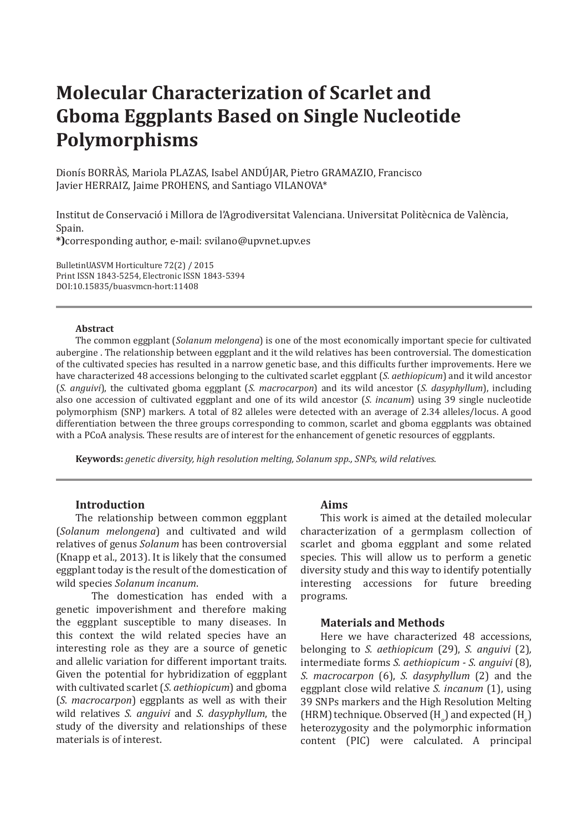# **Molecular Characterization of Scarlet and Gboma Eggplants Based on Single Nucleotide Polymorphisms**

Dionís BORRÀS, Mariola PLAZAS, Isabel ANDÚJAR, Pietro GRAMAZIO, Francisco Javier HERRAIZ, Jaime PROHENS, and Santiago VILANOVA\*

Institut de Conservació i Millora de l'Agrodiversitat Valenciana. Universitat Politècnica de València, Spain.

**\*)**corresponding author, e-mail: svilano@upvnet.upv.es

BulletinUASVM Horticulture 72(2) / 2015 Print ISSN 1843-5254, Electronic ISSN 1843-5394 DOI:10.15835/buasvmcn-hort:11408

### **Abstract**

The common eggplant (*Solanum melongena*) is one of the most economically important specie for cultivated aubergine . The relationship between eggplant and it the wild relatives has been controversial. The domestication of the cultivated species has resulted in a narrow genetic base, and this difficults further improvements. Here we have characterized 48 accessions belonging to the cultivated scarlet eggplant (*S. aethiopicum*) and it wild ancestor (*S. anguivi*), the cultivated gboma eggplant (*S. macrocarpon*) and its wild ancestor (*S. dasyphyllum*), including also one accession of cultivated eggplant and one of its wild ancestor (*S. incanum*) using 39 single nucleotide polymorphism (SNP) markers. A total of 82 alleles were detected with an average of 2.34 alleles/locus. A good differentiation between the three groups corresponding to common, scarlet and gboma eggplants was obtained with a PCoA analysis. These results are of interest for the enhancement of genetic resources of eggplants.

**Keywords:** *genetic diversity, high resolution melting, Solanum spp., SNPs, wild relatives*.

# **Introduction**

The relationship between common eggplant (*Solanum melongena*) and cultivated and wild relatives of genus *Solanum* has been controversial (Knapp et al., 2013). It is likely that the consumed eggplant today is the result of the domestication of wild species *Solanum incanum*.

The domestication has ended with a genetic impoverishment and therefore making the eggplant susceptible to many diseases. In this context the wild related species have an interesting role as they are a source of genetic and allelic variation for different important traits. Given the potential for hybridization of eggplant with cultivated scarlet (*S. aethiopicum*) and gboma (*S. macrocarpon*) eggplants as well as with their wild relatives *S. anguivi* and *S. dasyphyllum*, the study of the diversity and relationships of these materials is of interest.

# **Aims**

This work is aimed at the detailed molecular characterization of a germplasm collection of scarlet and gboma eggplant and some related species. This will allow us to perform a genetic diversity study and this way to identify potentially interesting accessions for future breeding programs.

## **Materials and Methods**

Here we have characterized 48 accessions, belonging to *S. aethiopicum* (29), *S. anguivi* (2)*,* intermediate forms *S. aethiopicum - S. anguivi* (8), *S. macrocarpon* (6), *S. dasyphyllum* (2) and the eggplant close wild relative *S. incanum* (1), using 39 SNPs markers and the High Resolution Melting  $(HRM)$  technique. Observed  $(H_0)$  and expected  $(H_e)$ heterozygosity and the polymorphic information content (PIC) were calculated. A principal